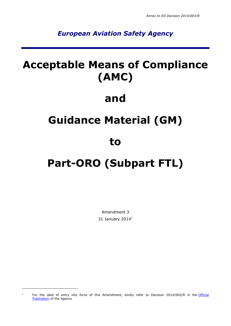### *European Aviation Safety Agency*

## **Acceptable Means of Compliance (AMC)**

### **and**

## **Guidance Material (GM)**

### **to**

# **Part-ORO (Subpart FTL)**

Amendment 3 31 January 2014 $^1$ 

-

<sup>1</sup> For the date of entry into force of this Amendment, kindly refer to Decision 2014/003/R in the Official **[Publication](http://easa.europa.eu/official-publication/)** of the Agency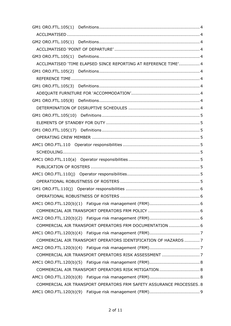|                                                                      | ACCLIMATISED 'TIME ELAPSED SINCE REPORTING AT REFERENCE TIME' 4 |
|----------------------------------------------------------------------|-----------------------------------------------------------------|
|                                                                      |                                                                 |
|                                                                      |                                                                 |
|                                                                      |                                                                 |
|                                                                      |                                                                 |
|                                                                      |                                                                 |
|                                                                      |                                                                 |
|                                                                      |                                                                 |
|                                                                      |                                                                 |
|                                                                      |                                                                 |
|                                                                      |                                                                 |
|                                                                      |                                                                 |
|                                                                      |                                                                 |
|                                                                      |                                                                 |
|                                                                      |                                                                 |
|                                                                      |                                                                 |
|                                                                      |                                                                 |
|                                                                      |                                                                 |
|                                                                      |                                                                 |
|                                                                      |                                                                 |
|                                                                      |                                                                 |
|                                                                      |                                                                 |
|                                                                      | COMMERCIAL AIR TRANSPORT OPERATORS FRM DOCUMENTATION  6         |
|                                                                      |                                                                 |
|                                                                      | COMMERCIAL AIR TRANSPORT OPERATORS IDENTIFICATION OF HAZARDS  7 |
|                                                                      |                                                                 |
|                                                                      |                                                                 |
|                                                                      |                                                                 |
|                                                                      | COMMERCIAL AIR TRANSPORT OPERATORS RISK MITIGATION 8            |
|                                                                      |                                                                 |
| COMMERCIAL AIR TRANSPORT OPERATORS FRM SAFETY ASSURANCE PROCESSES. 8 |                                                                 |
|                                                                      |                                                                 |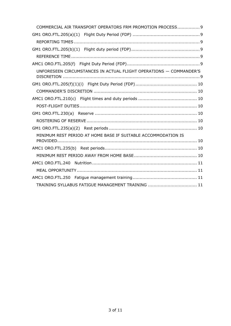| COMMERCIAL AIR TRANSPORT OPERATORS FRM PROMOTION PROCESS 9         |  |
|--------------------------------------------------------------------|--|
|                                                                    |  |
|                                                                    |  |
|                                                                    |  |
|                                                                    |  |
|                                                                    |  |
| UNFORESEEN CIRCUMSTANCES IN ACTUAL FLIGHT OPERATIONS - COMMANDER'S |  |
|                                                                    |  |
|                                                                    |  |
|                                                                    |  |
|                                                                    |  |
|                                                                    |  |
|                                                                    |  |
|                                                                    |  |
| MINIMUM REST PERIOD AT HOME BASE IF SUITABLE ACCOMMODATION IS      |  |
|                                                                    |  |
|                                                                    |  |
|                                                                    |  |
|                                                                    |  |
|                                                                    |  |
|                                                                    |  |
| TRAINING SYLLABUS FATIGUE MANAGEMENT TRAINING  11                  |  |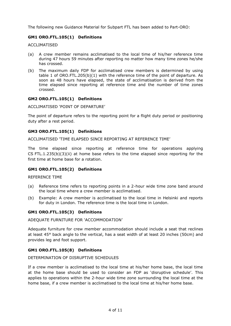The following new Guidance Material for Subpart FTL has been added to Part-ORO:

#### <span id="page-3-0"></span>**GM1 ORO.FTL.105(1) Definitions**

<span id="page-3-1"></span>ACCLIMATISED

- (a) A crew member remains acclimatised to the local time of his/her reference time during 47 hours 59 minutes after reporting no matter how many time zones he/she has crossed.
- (b) The maximum daily FDP for acclimatised crew members is determined by using table 1 of ORO.FTL.205(b)(1) with the reference time of the point of departure. As soon as 48 hours have elapsed, the state of acclimatisation is derived from the time elapsed since reporting at reference time and the number of time zones crossed.

#### <span id="page-3-2"></span>**GM2 ORO.FTL.105(1) Definitions**

<span id="page-3-3"></span>ACCLIMATISED 'POINT OF DEPARTURE'

The point of departure refers to the reporting point for a flight duty period or positioning duty after a rest period.

#### <span id="page-3-4"></span>**GM3 ORO.FTL.105(1) Definitions**

<span id="page-3-5"></span>ACCLIMATISED 'TIME ELAPSED SINCE REPORTING AT REFERENCE TIME'

The time elapsed since reporting at reference time for operations applying CS FTL.1.235(b)(3)(ii) at home base refers to the time elapsed since reporting for the first time at home base for a rotation.

#### <span id="page-3-6"></span>**GM1 ORO.FTL.105(2) Definitions**

<span id="page-3-7"></span>REFERENCE TIME

- (a) Reference time refers to reporting points in a 2-hour wide time zone band around the local time where a crew member is acclimatised.
- (b) Example: A crew member is acclimatised to the local time in Helsinki and reports for duty in London. The reference time is the local time in London.

#### <span id="page-3-8"></span>**GM1 ORO.FTL.105(3) Definitions**

<span id="page-3-9"></span>ADEQUATE FURNITURE FOR 'ACCOMMODATION'

Adequate furniture for crew member accommodation should include a seat that reclines at least 45° back angle to the vertical, has a seat width of at least 20 inches (50cm) and provides leg and foot support.

#### <span id="page-3-10"></span>**GM1 ORO.FTL.105(8) Definitions**

<span id="page-3-11"></span>DETERMINATION OF DISRUPTIVE SCHEDULES

If a crew member is acclimatised to the local time at his/her home base, the local time at the home base should be used to consider an FDP as 'disruptive schedule'. This applies to operations within the 2-hour wide time zone surrounding the local time at the home base, if a crew member is acclimatised to the local time at his/her home base.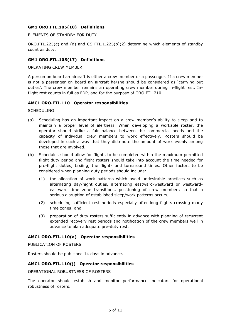#### <span id="page-4-0"></span>**GM1 ORO.FTL.105(10) Definitions**

<span id="page-4-1"></span>ELEMENTS OF STANDBY FOR DUTY

ORO.FTL.225(c) and (d) and CS FTL.1.225(b)(2) determine which elements of standby count as duty.

#### <span id="page-4-2"></span>**GM1 ORO.FTL.105(17) Definitions**

<span id="page-4-3"></span>OPERATING CREW MEMBER

A person on board an aircraft is either a crew member or a passenger. If a crew member is not a passenger on board an aircraft he/she should be considered as 'carrying out duties'. The crew member remains an operating crew member during in-flight rest. Inflight rest counts in full as FDP, and for the purpose of ORO.FTL.210.

#### <span id="page-4-4"></span>**AMC1 ORO.FTL.110 Operator responsibilities**

<span id="page-4-5"></span>**SCHEDULING** 

- (a) Scheduling has an important impact on a crew member's ability to sleep and to maintain a proper level of alertness. When developing a workable roster, the operator should strike a fair balance between the commercial needs and the capacity of individual crew members to work effectively. Rosters should be developed in such a way that they distribute the amount of work evenly among those that are involved.
- (b) Schedules should allow for flights to be completed within the maximum permitted flight duty period and flight rosters should take into account the time needed for pre-flight duties, taxiing, the flight- and turnaround times. Other factors to be considered when planning duty periods should include:
	- (1) the allocation of work patterns which avoid undesirable practices such as alternating day/night duties, alternating eastward-westward or westwardeastward time zone transitions, positioning of crew members so that a serious disruption of established sleep/work patterns occurs;
	- (2) scheduling sufficient rest periods especially after long flights crossing many time zones; and
	- (3) preparation of duty rosters sufficiently in advance with planning of recurrent extended recovery rest periods and notification of the crew members well in advance to plan adequate pre-duty rest.

#### <span id="page-4-6"></span>**AMC1 ORO.FTL.110(a) Operator responsibilities**

<span id="page-4-7"></span>PUBLICATION OF ROSTERS

Rosters should be published 14 days in advance.

#### <span id="page-4-8"></span>**AMC1 ORO.FTL.110(j) Operator responsibilities**

<span id="page-4-9"></span>OPERATIONAL ROBUSTNESS OF ROSTERS

The operator should establish and monitor performance indicators for operational robustness of rosters.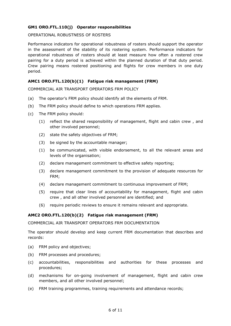#### <span id="page-5-0"></span>**GM1 ORO.FTL.110(j) Operator responsibilities**

<span id="page-5-1"></span>OPERATIONAL ROBUSTNESS OF ROSTERS

Performance indicators for operational robustness of rosters should support the operator in the assessment of the stability of its rostering system. Performance indicators for operational robustness of rosters should at least measure how often a rostered crew pairing for a duty period is achieved within the planned duration of that duty period. Crew pairing means rostered positioning and flights for crew members in one duty period.

#### <span id="page-5-2"></span>**AMC1 ORO.FTL.120(b)(1) Fatigue risk management (FRM)**

<span id="page-5-3"></span>COMMERCIAL AIR TRANSPORT OPERATORS FRM POLICY

- (a) The operator's FRM policy should identify all the elements of FRM.
- (b) The FRM policy should define to which operations FRM applies.
- (c) The FRM policy should:
	- (1) reflect the shared responsibility of management, flight and cabin crew , and other involved personnel;
	- (2) state the safety objectives of FRM;
	- (3) be signed by the accountable manager;
	- (1) be communicated, with visible endorsement, to all the relevant areas and levels of the organisation;
	- (2) declare management commitment to effective safety reporting;
	- (3) declare management commitment to the provision of adequate resources for FRM;
	- (4) declare management commitment to continuous improvement of FRM;
	- (5) require that clear lines of accountability for management, flight and cabin crew , and all other involved personnel are identified; and
	- (6) require periodic reviews to ensure it remains relevant and appropriate.

#### <span id="page-5-4"></span>**AMC2 ORO.FTL.120(b)(2) Fatigue risk management (FRM)**

<span id="page-5-5"></span>COMMERCIAL AIR TRANSPORT OPERATORS FRM DOCUMENTATION

The operator should develop and keep current FRM documentation that describes and records:

- (a) FRM policy and objectives;
- (b) FRM processes and procedures;
- (c) accountabilities, responsibilities and authorities for these processes and procedures;
- (d) mechanisms for on-going involvement of management, flight and cabin crew members, and all other involved personnel;
- (e) FRM training programmes, training requirements and attendance records;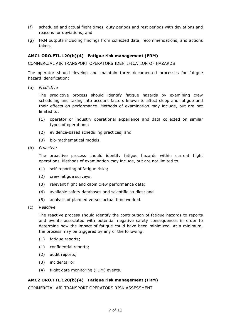- (f) scheduled and actual flight times, duty periods and rest periods with deviations and reasons for deviations; and
- (g) FRM outputs including findings from collected data, recommendations, and actions taken.

#### <span id="page-6-0"></span>**AMC1 ORO.FTL.120(b)(4) Fatigue risk management (FRM)**

<span id="page-6-1"></span>COMMERCIAL AIR TRANSPORT OPERATORS IDENTIFICATION OF HAZARDS

The operator should develop and maintain three documented processes for fatigue hazard identification:

(a) *Predictive*

The predictive process should identify fatigue hazards by examining crew scheduling and taking into account factors known to affect sleep and fatigue and their effects on performance. Methods of examination may include, but are not limited to:

- (1) operator or industry operational experience and data collected on similar types of operations;
- (2) evidence-based scheduling practices; and
- (3) bio-mathematical models.
- (b) *Proactive*

The proactive process should identify fatigue hazards within current flight operations. Methods of examination may include, but are not limited to:

- (1) self-reporting of fatigue risks;
- (2) crew fatigue surveys;
- (3) relevant flight and cabin crew performance data;
- (4) available safety databases and scientific studies; and
- (5) analysis of planned versus actual time worked.
- (c) *Reactive*

The reactive process should identify the contribution of fatigue hazards to reports and events associated with potential negative safety consequences in order to determine how the impact of fatigue could have been minimized. At a minimum, the process may be triggered by any of the following:

- (1) fatigue reports;
- (1) confidential reports;
- (2) audit reports;
- (3) incidents; or
- (4) flight data monitoring (FDM) events.

#### <span id="page-6-2"></span>**AMC2 ORO.FTL.120(b)(4) Fatigue risk management (FRM)**

<span id="page-6-3"></span>COMMERCIAL AIR TRANSPORT OPERATORS RISK ASSESSMENT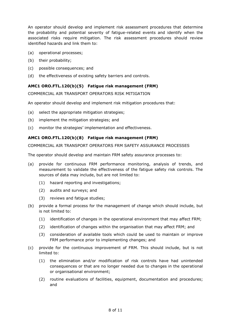An operator should develop and implement risk assessment procedures that determine the probability and potential severity of fatigue-related events and identify when the associated risks require mitigation. The risk assessment procedures should review identified hazards and link them to:

- (a) operational processes;
- (b) their probability;
- (c) possible consequences; and
- (d) the effectiveness of existing safety barriers and controls.

#### <span id="page-7-0"></span>**AMC1 ORO.FTL.120(b)(5) Fatigue risk management (FRM)**

<span id="page-7-1"></span>COMMERCIAL AIR TRANSPORT OPERATORS RISK MITIGATION

An operator should develop and implement risk mitigation procedures that:

- (a) select the appropriate mitigation strategies;
- (b) implement the mitigation strategies; and
- (c) monitor the strategies' implementation and effectiveness.

#### <span id="page-7-2"></span>**AMC1 ORO.FTL.120(b)(8) Fatigue risk management (FRM)**

<span id="page-7-3"></span>COMMERCIAL AIR TRANSPORT OPERATORS FRM SAFETY ASSURANCE PROCESSES

The operator should develop and maintain FRM safety assurance processes to:

- (a) provide for continuous FRM performance monitoring, analysis of trends, and measurement to validate the effectiveness of the fatigue safety risk controls. The sources of data may include, but are not limited to:
	- (1) hazard reporting and investigations;
	- (2) audits and surveys; and
	- (3) reviews and fatigue studies;
- (b) provide a formal process for the management of change which should include, but is not limited to:
	- (1) identification of changes in the operational environment that may affect FRM;
	- (2) identification of changes within the organisation that may affect FRM; and
	- (3) consideration of available tools which could be used to maintain or improve FRM performance prior to implementing changes; and
- (c) provide for the continuous improvement of FRM. This should include, but is not limited to:
	- (1) the elimination and/or modification of risk controls have had unintended consequences or that are no longer needed due to changes in the operational or organisational environment;
	- (2) routine evaluations of facilities, equipment, documentation and procedures; and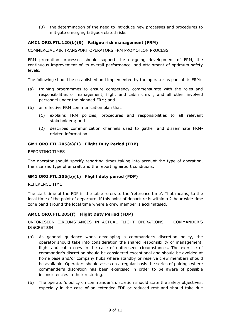(3) the determination of the need to introduce new processes and procedures to mitigate emerging fatigue-related risks.

#### <span id="page-8-0"></span>**AMC1 ORO.FTL.120(b)(9) Fatigue risk management (FRM)**

<span id="page-8-1"></span>COMMERCIAL AIR TRANSPORT OPERATORS FRM PROMOTION PROCESS

FRM promotion processes should support the on-going development of FRM, the continuous improvement of its overall performance, and attainment of optimum safety levels.

The following should be established and implemented by the operator as part of its FRM:

- (a) training programmes to ensure competency commensurate with the roles and responsibilities of management, flight and cabin crew , and all other involved personnel under the planned FRM; and
- (b) an effective FRM communication plan that:
	- (1) explains FRM policies, procedures and responsibilities to all relevant stakeholders; and
	- (2) describes communication channels used to gather and disseminate FRMrelated information.

#### <span id="page-8-2"></span>**GM1 ORO.FTL.205(a)(1) Flight Duty Period (FDP)**

<span id="page-8-3"></span>REPORTING TIMES

The operator should specify reporting times taking into account the type of operation, the size and type of aircraft and the reporting airport conditions.

#### <span id="page-8-4"></span>**GM1 ORO.FTL.205(b)(1) Flight duty period (FDP)**

#### <span id="page-8-5"></span>REFERENCE TIME

The start time of the FDP in the table refers to the 'reference time'. That means, to the local time of the point of departure, if this point of departure is within a 2-hour wide time zone band around the local time where a crew member is acclimatised.

#### <span id="page-8-6"></span>**AMC1 ORO.FTL.205(f) Flight Duty Period (FDP)**

<span id="page-8-7"></span>UNFORESEEN CIRCUMSTANCES IN ACTUAL FLIGHT OPERATIONS — COMMANDER'S DISCRETION

- (a) As general guidance when developing a commander's discretion policy, the operator should take into consideration the shared responsibility of management, flight and cabin crew in the case of unforeseen circumstances. The exercise of commander's discretion should be considered exceptional and should be avoided at home base and/or company hubs where standby or reserve crew members should be available. Operators should asses on a regular basis the series of pairings where commander's discretion has been exercised in order to be aware of possible inconsistencies in their rostering.
- (b) The operator's policy on commander's discretion should state the safety objectives, especially in the case of an extended FDP or reduced rest and should take due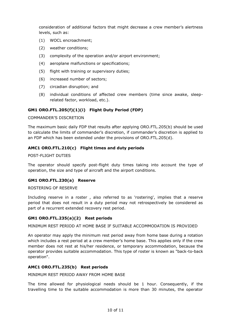consideration of additional factors that might decrease a crew member's alertness levels, such as:

- (1) WOCL encroachment;
- (2) weather conditions;
- (3) complexity of the operation and/or airport environment;
- (4) aeroplane malfunctions or specifications;
- (5) flight with training or supervisory duties;
- (6) increased number of sectors;
- (7) circadian disruption; and
- (8) individual conditions of affected crew members (time since awake, sleeprelated factor, workload, etc.).

#### <span id="page-9-0"></span>**GM1 ORO.FTL.205(f)(1)(i) Flight Duty Period (FDP)**

#### <span id="page-9-1"></span>COMMANDER'S DISCRETION

The maximum basic daily FDP that results after applying ORO.FTL.205(b) should be used to calculate the limits of commander's discretion, if commander's discretion is applied to an FDP which has been extended under the provisions of ORO.FTL.205(d).

#### <span id="page-9-2"></span>**AMC1 ORO.FTL.210(c) Flight times and duty periods**

<span id="page-9-3"></span>POST-FLIGHT DUTIES

The operator should specify post-flight duty times taking into account the type of operation, the size and type of aircraft and the airport conditions.

#### <span id="page-9-4"></span>**GM1 ORO.FTL.230(a) Reserve**

#### <span id="page-9-5"></span>ROSTERING OF RESERVE

Including reserve in a roster , also referred to as 'rostering', implies that a reserve period that does not result in a duty period may not retrospectively be considered as part of a recurrent extended recovery rest period.

#### <span id="page-9-6"></span>**GM1 ORO.FTL.235(a)(2) Rest periods**

<span id="page-9-7"></span>MINIMUM REST PERIOD AT HOME BASE IF SUITABLE ACCOMMODATION IS PROVIDED

An operator may apply the minimum rest period away from home base during a rotation which includes a rest period at a crew member's home base. This applies only if the crew member does not rest at his/her residence, or temporary accommodation, because the operator provides suitable accommodation. This type of roster is known as "back-to-back operation".

#### <span id="page-9-8"></span>**AMC1 ORO.FTL.235(b) Rest periods**

<span id="page-9-9"></span>MINIMUM REST PERIOD AWAY FROM HOME BASE

The time allowed for physiological needs should be 1 hour. Consequently, if the travelling time to the suitable accommodation is more than 30 minutes, the operator